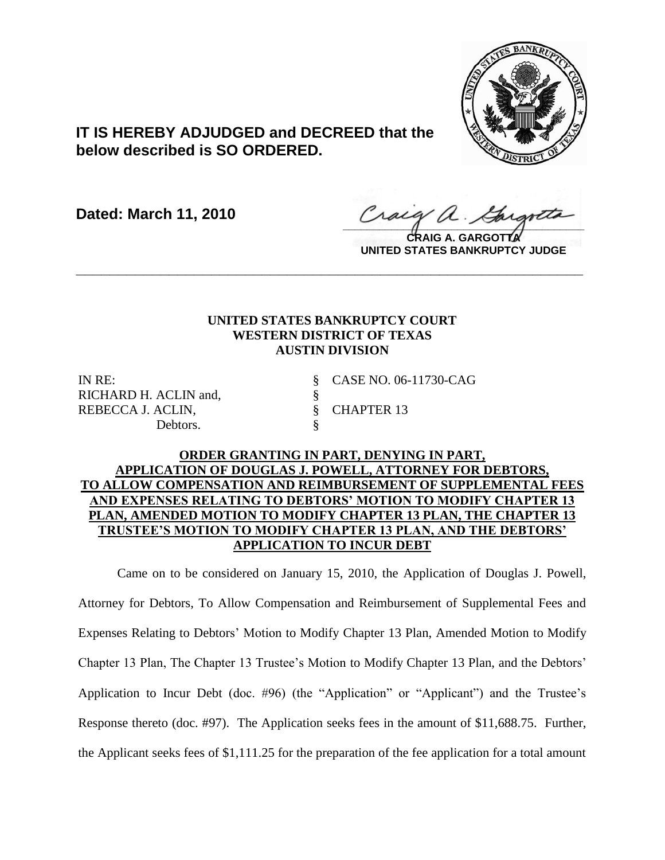

# **IT IS HEREBY ADJUDGED and DECREED that the below described is SO ORDERED.**

**Dated: March 11, 2010**

 $\frac{1}{2}$ 

**CRAIG A. GARGOTTA UNITED STATES BANKRUPTCY JUDGE**

## **UNITED STATES BANKRUPTCY COURT WESTERN DISTRICT OF TEXAS AUSTIN DIVISION**

**\_\_\_\_\_\_\_\_\_\_\_\_\_\_\_\_\_\_\_\_\_\_\_\_\_\_\_\_\_\_\_\_\_\_\_\_\_\_\_\_\_\_\_\_\_\_\_\_\_\_\_\_\_\_\_\_\_\_\_\_**

RICHARD H. ACLIN and, § REBECCA J. ACLIN,  $\S$  CHAPTER 13 Debtors.

IN RE: § CASE NO. 06-11730-CAG

## **ORDER GRANTING IN PART, DENYING IN PART, APPLICATION OF DOUGLAS J. POWELL, ATTORNEY FOR DEBTORS, TO ALLOW COMPENSATION AND REIMBURSEMENT OF SUPPLEMENTAL FEES AND EXPENSES RELATING TO DEBTORS' MOTION TO MODIFY CHAPTER 13 PLAN, AMENDED MOTION TO MODIFY CHAPTER 13 PLAN, THE CHAPTER 13 TRUSTEE'S MOTION TO MODIFY CHAPTER 13 PLAN, AND THE DEBTORS' APPLICATION TO INCUR DEBT**

Came on to be considered on January 15, 2010, the Application of Douglas J. Powell, Attorney for Debtors, To Allow Compensation and Reimbursement of Supplemental Fees and Expenses Relating to Debtors' Motion to Modify Chapter 13 Plan, Amended Motion to Modify Chapter 13 Plan, The Chapter 13 Trustee's Motion to Modify Chapter 13 Plan, and the Debtors' Application to Incur Debt (doc. #96) (the "Application" or "Applicant") and the Trustee's Response thereto (doc. #97). The Application seeks fees in the amount of \$11,688.75. Further, the Applicant seeks fees of \$1,111.25 for the preparation of the fee application for a total amount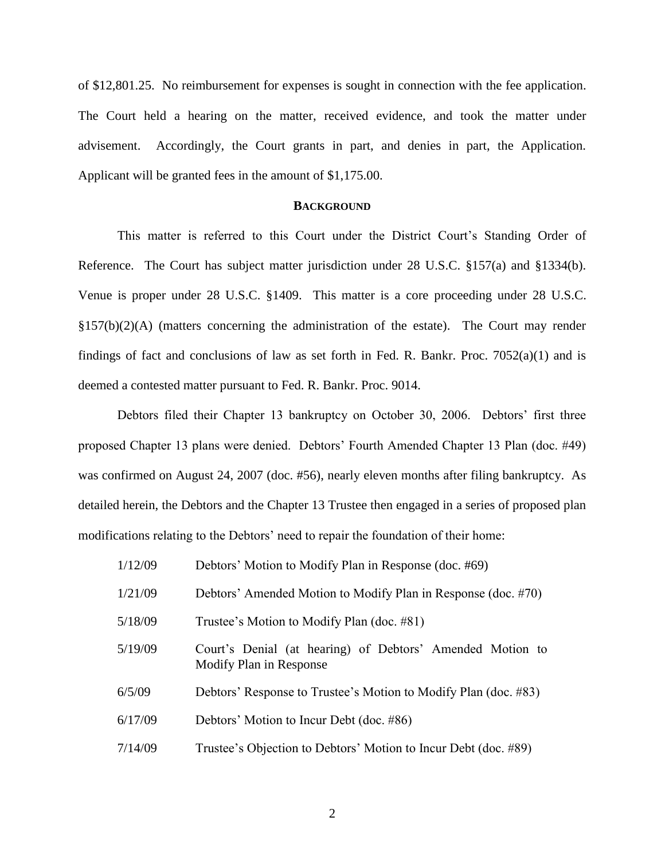of \$12,801.25. No reimbursement for expenses is sought in connection with the fee application. The Court held a hearing on the matter, received evidence, and took the matter under advisement. Accordingly, the Court grants in part, and denies in part, the Application. Applicant will be granted fees in the amount of \$1,175.00.

#### **BACKGROUND**

This matter is referred to this Court under the District Court's Standing Order of Reference. The Court has subject matter jurisdiction under 28 U.S.C. §157(a) and §1334(b). Venue is proper under 28 U.S.C. §1409. This matter is a core proceeding under 28 U.S.C.  $\S157(b)(2)(A)$  (matters concerning the administration of the estate). The Court may render findings of fact and conclusions of law as set forth in Fed. R. Bankr. Proc.  $7052(a)(1)$  and is deemed a contested matter pursuant to Fed. R. Bankr. Proc. 9014.

Debtors filed their Chapter 13 bankruptcy on October 30, 2006. Debtors' first three proposed Chapter 13 plans were denied. Debtors' Fourth Amended Chapter 13 Plan (doc. #49) was confirmed on August 24, 2007 (doc. #56), nearly eleven months after filing bankruptcy. As detailed herein, the Debtors and the Chapter 13 Trustee then engaged in a series of proposed plan modifications relating to the Debtors' need to repair the foundation of their home:

| 1/12/09 | Debtors' Motion to Modify Plan in Response (doc. #69)                                |
|---------|--------------------------------------------------------------------------------------|
| 1/21/09 | Debtors' Amended Motion to Modify Plan in Response (doc. #70)                        |
| 5/18/09 | Trustee's Motion to Modify Plan (doc. #81)                                           |
| 5/19/09 | Court's Denial (at hearing) of Debtors' Amended Motion to<br>Modify Plan in Response |
| 6/5/09  | Debtors' Response to Trustee's Motion to Modify Plan (doc. #83)                      |
| 6/17/09 | Debtors' Motion to Incur Debt (doc. #86)                                             |
| 7/14/09 | Trustee's Objection to Debtors' Motion to Incur Debt (doc. #89)                      |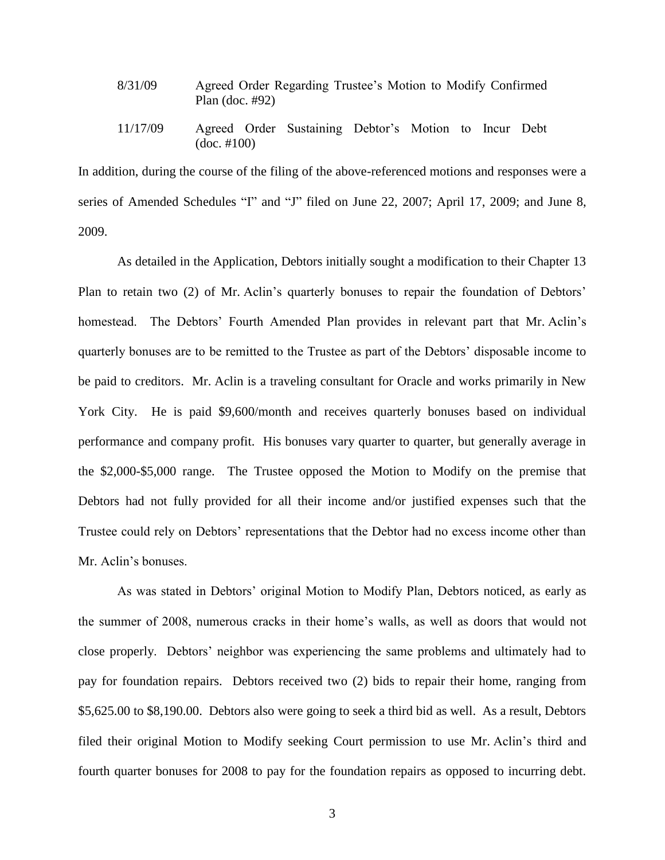| 8/31/09 | Agreed Order Regarding Trustee's Motion to Modify Confirmed |
|---------|-------------------------------------------------------------|
|         | Plan $(doc. #92)$                                           |

11/17/09 Agreed Order Sustaining Debtor's Motion to Incur Debt (doc. #100)

In addition, during the course of the filing of the above-referenced motions and responses were a series of Amended Schedules "I" and "J" filed on June 22, 2007; April 17, 2009; and June 8, 2009.

As detailed in the Application, Debtors initially sought a modification to their Chapter 13 Plan to retain two (2) of Mr. Aclin's quarterly bonuses to repair the foundation of Debtors' homestead. The Debtors' Fourth Amended Plan provides in relevant part that Mr. Aclin's quarterly bonuses are to be remitted to the Trustee as part of the Debtors' disposable income to be paid to creditors. Mr. Aclin is a traveling consultant for Oracle and works primarily in New York City. He is paid \$9,600/month and receives quarterly bonuses based on individual performance and company profit. His bonuses vary quarter to quarter, but generally average in the \$2,000-\$5,000 range. The Trustee opposed the Motion to Modify on the premise that Debtors had not fully provided for all their income and/or justified expenses such that the Trustee could rely on Debtors' representations that the Debtor had no excess income other than Mr. Aclin's bonuses.

As was stated in Debtors' original Motion to Modify Plan, Debtors noticed, as early as the summer of 2008, numerous cracks in their home's walls, as well as doors that would not close properly. Debtors' neighbor was experiencing the same problems and ultimately had to pay for foundation repairs. Debtors received two (2) bids to repair their home, ranging from \$5,625.00 to \$8,190.00. Debtors also were going to seek a third bid as well. As a result, Debtors filed their original Motion to Modify seeking Court permission to use Mr. Aclin's third and fourth quarter bonuses for 2008 to pay for the foundation repairs as opposed to incurring debt.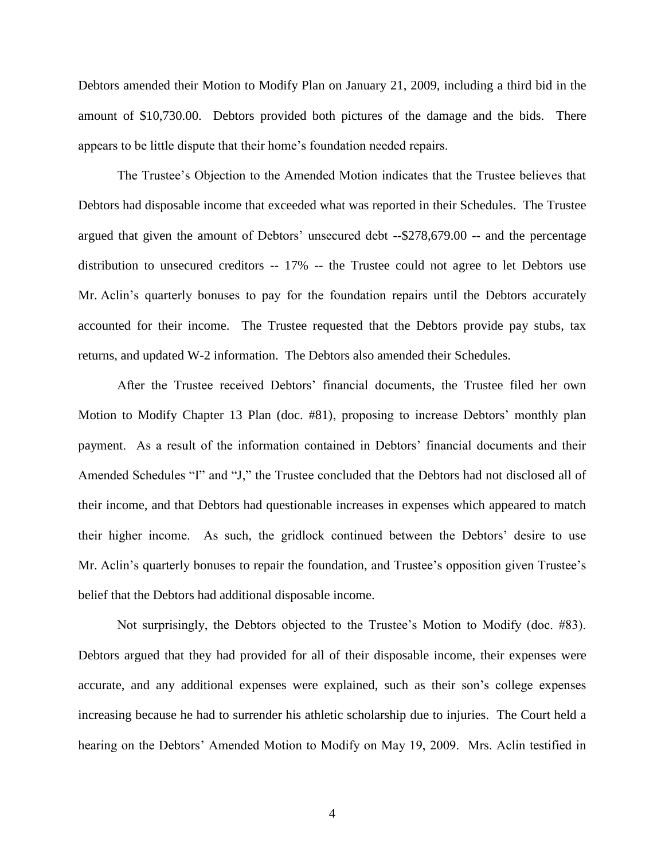Debtors amended their Motion to Modify Plan on January 21, 2009, including a third bid in the amount of \$10,730.00. Debtors provided both pictures of the damage and the bids. There appears to be little dispute that their home's foundation needed repairs.

The Trustee's Objection to the Amended Motion indicates that the Trustee believes that Debtors had disposable income that exceeded what was reported in their Schedules. The Trustee argued that given the amount of Debtors' unsecured debt --\$278,679.00 -- and the percentage distribution to unsecured creditors -- 17% -- the Trustee could not agree to let Debtors use Mr. Aclin's quarterly bonuses to pay for the foundation repairs until the Debtors accurately accounted for their income. The Trustee requested that the Debtors provide pay stubs, tax returns, and updated W-2 information. The Debtors also amended their Schedules.

After the Trustee received Debtors' financial documents, the Trustee filed her own Motion to Modify Chapter 13 Plan (doc. #81), proposing to increase Debtors' monthly plan payment. As a result of the information contained in Debtors' financial documents and their Amended Schedules "I" and "J," the Trustee concluded that the Debtors had not disclosed all of their income, and that Debtors had questionable increases in expenses which appeared to match their higher income. As such, the gridlock continued between the Debtors' desire to use Mr. Aclin's quarterly bonuses to repair the foundation, and Trustee's opposition given Trustee's belief that the Debtors had additional disposable income.

Not surprisingly, the Debtors objected to the Trustee's Motion to Modify (doc. #83). Debtors argued that they had provided for all of their disposable income, their expenses were accurate, and any additional expenses were explained, such as their son's college expenses increasing because he had to surrender his athletic scholarship due to injuries. The Court held a hearing on the Debtors' Amended Motion to Modify on May 19, 2009. Mrs. Aclin testified in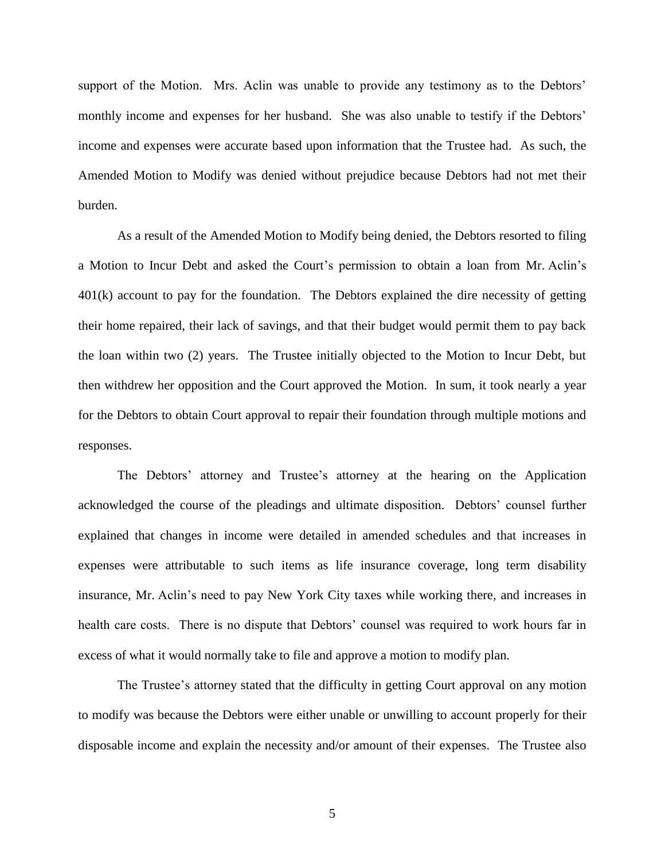support of the Motion. Mrs. Aclin was unable to provide any testimony as to the Debtors' monthly income and expenses for her husband. She was also unable to testify if the Debtors' income and expenses were accurate based upon information that the Trustee had. As such, the Amended Motion to Modify was denied without prejudice because Debtors had not met their burden.

As a result of the Amended Motion to Modify being denied, the Debtors resorted to filing a Motion to Incur Debt and asked the Court's permission to obtain a loan from Mr. Aclin's 401(k) account to pay for the foundation. The Debtors explained the dire necessity of getting their home repaired, their lack of savings, and that their budget would permit them to pay back the loan within two (2) years. The Trustee initially objected to the Motion to Incur Debt, but then withdrew her opposition and the Court approved the Motion. In sum, it took nearly a year for the Debtors to obtain Court approval to repair their foundation through multiple motions and responses.

The Debtors' attorney and Trustee's attorney at the hearing on the Application acknowledged the course of the pleadings and ultimate disposition. Debtors' counsel further explained that changes in income were detailed in amended schedules and that increases in expenses were attributable to such items as life insurance coverage, long term disability insurance, Mr. Aclin's need to pay New York City taxes while working there, and increases in health care costs. There is no dispute that Debtors' counsel was required to work hours far in excess of what it would normally take to file and approve a motion to modify plan.

The Trustee's attorney stated that the difficulty in getting Court approval on any motion to modify was because the Debtors were either unable or unwilling to account properly for their disposable income and explain the necessity and/or amount of their expenses. The Trustee also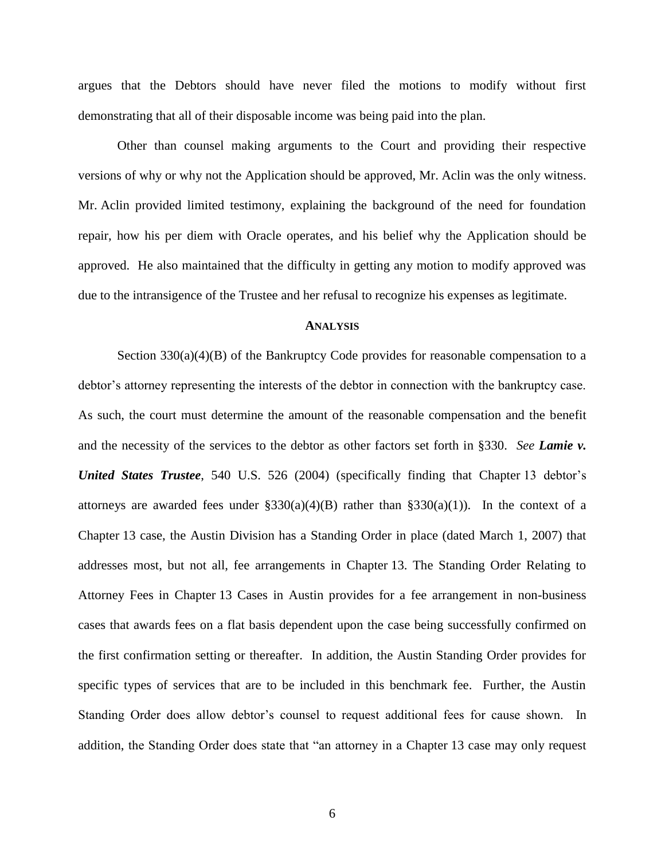argues that the Debtors should have never filed the motions to modify without first demonstrating that all of their disposable income was being paid into the plan.

Other than counsel making arguments to the Court and providing their respective versions of why or why not the Application should be approved, Mr. Aclin was the only witness. Mr. Aclin provided limited testimony, explaining the background of the need for foundation repair, how his per diem with Oracle operates, and his belief why the Application should be approved. He also maintained that the difficulty in getting any motion to modify approved was due to the intransigence of the Trustee and her refusal to recognize his expenses as legitimate.

#### **ANALYSIS**

Section  $330(a)(4)(B)$  of the Bankruptcy Code provides for reasonable compensation to a debtor's attorney representing the interests of the debtor in connection with the bankruptcy case. As such, the court must determine the amount of the reasonable compensation and the benefit and the necessity of the services to the debtor as other factors set forth in §330. *See Lamie v. United States Trustee*, 540 U.S. 526 (2004) (specifically finding that Chapter 13 debtor's attorneys are awarded fees under  $\S 330(a)(4)(B)$  rather than  $\S 330(a)(1)$ ). In the context of a Chapter 13 case, the Austin Division has a Standing Order in place (dated March 1, 2007) that addresses most, but not all, fee arrangements in Chapter 13. The Standing Order Relating to Attorney Fees in Chapter 13 Cases in Austin provides for a fee arrangement in non-business cases that awards fees on a flat basis dependent upon the case being successfully confirmed on the first confirmation setting or thereafter. In addition, the Austin Standing Order provides for specific types of services that are to be included in this benchmark fee. Further, the Austin Standing Order does allow debtor's counsel to request additional fees for cause shown. In addition, the Standing Order does state that "an attorney in a Chapter 13 case may only request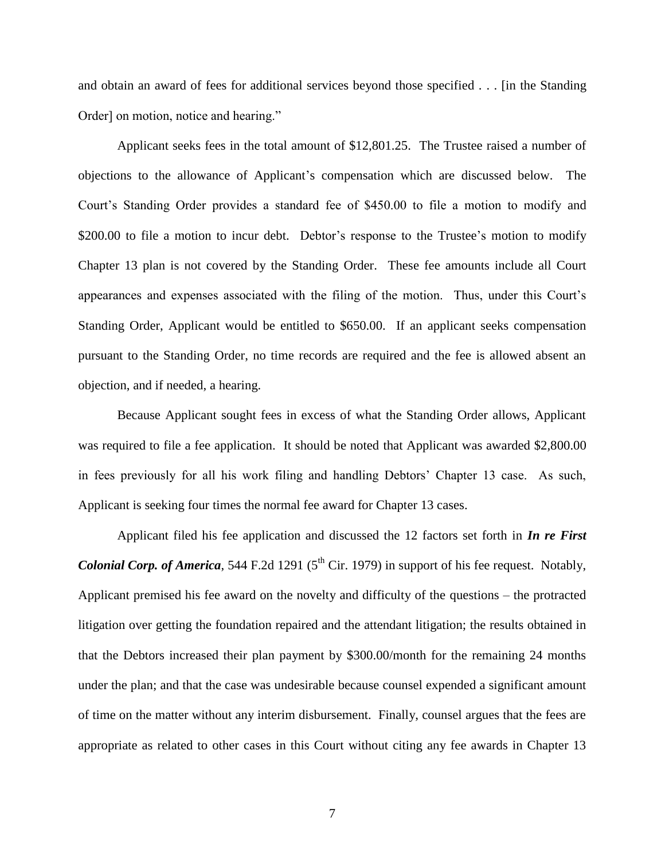and obtain an award of fees for additional services beyond those specified . . . [in the Standing Order] on motion, notice and hearing."

Applicant seeks fees in the total amount of \$12,801.25. The Trustee raised a number of objections to the allowance of Applicant's compensation which are discussed below. The Court's Standing Order provides a standard fee of \$450.00 to file a motion to modify and \$200.00 to file a motion to incur debt. Debtor's response to the Trustee's motion to modify Chapter 13 plan is not covered by the Standing Order. These fee amounts include all Court appearances and expenses associated with the filing of the motion. Thus, under this Court's Standing Order, Applicant would be entitled to \$650.00. If an applicant seeks compensation pursuant to the Standing Order, no time records are required and the fee is allowed absent an objection, and if needed, a hearing.

Because Applicant sought fees in excess of what the Standing Order allows, Applicant was required to file a fee application. It should be noted that Applicant was awarded \$2,800.00 in fees previously for all his work filing and handling Debtors' Chapter 13 case. As such, Applicant is seeking four times the normal fee award for Chapter 13 cases.

Applicant filed his fee application and discussed the 12 factors set forth in *In re First Colonial Corp. of America*, 544 F.2d 1291 ( $5<sup>th</sup>$  Cir. 1979) in support of his fee request. Notably, Applicant premised his fee award on the novelty and difficulty of the questions – the protracted litigation over getting the foundation repaired and the attendant litigation; the results obtained in that the Debtors increased their plan payment by \$300.00/month for the remaining 24 months under the plan; and that the case was undesirable because counsel expended a significant amount of time on the matter without any interim disbursement. Finally, counsel argues that the fees are appropriate as related to other cases in this Court without citing any fee awards in Chapter 13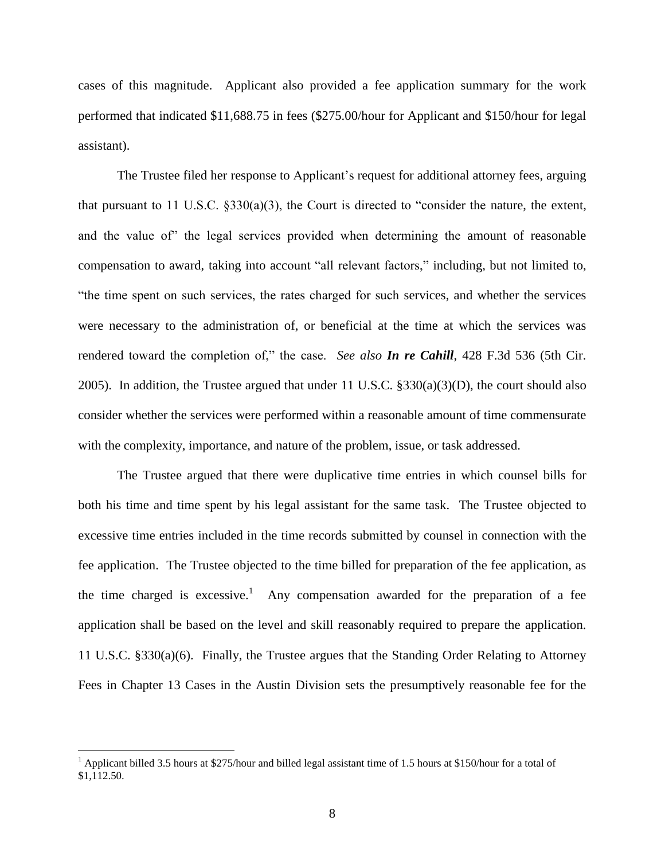cases of this magnitude. Applicant also provided a fee application summary for the work performed that indicated \$11,688.75 in fees (\$275.00/hour for Applicant and \$150/hour for legal assistant).

The Trustee filed her response to Applicant's request for additional attorney fees, arguing that pursuant to 11 U.S.C. §330(a)(3), the Court is directed to "consider the nature, the extent, and the value of" the legal services provided when determining the amount of reasonable compensation to award, taking into account "all relevant factors," including, but not limited to, "the time spent on such services, the rates charged for such services, and whether the services were necessary to the administration of, or beneficial at the time at which the services was rendered toward the completion of," the case. *See also In re Cahill*, 428 F.3d 536 (5th Cir. 2005). In addition, the Trustee argued that under 11 U.S.C. §330(a)(3)(D), the court should also consider whether the services were performed within a reasonable amount of time commensurate with the complexity, importance, and nature of the problem, issue, or task addressed.

The Trustee argued that there were duplicative time entries in which counsel bills for both his time and time spent by his legal assistant for the same task. The Trustee objected to excessive time entries included in the time records submitted by counsel in connection with the fee application. The Trustee objected to the time billed for preparation of the fee application, as the time charged is excessive.<sup>1</sup> Any compensation awarded for the preparation of a fee application shall be based on the level and skill reasonably required to prepare the application. 11 U.S.C. §330(a)(6). Finally, the Trustee argues that the Standing Order Relating to Attorney Fees in Chapter 13 Cases in the Austin Division sets the presumptively reasonable fee for the

 $\overline{a}$ 

<sup>&</sup>lt;sup>1</sup> Applicant billed 3.5 hours at \$275/hour and billed legal assistant time of 1.5 hours at \$150/hour for a total of \$1,112.50.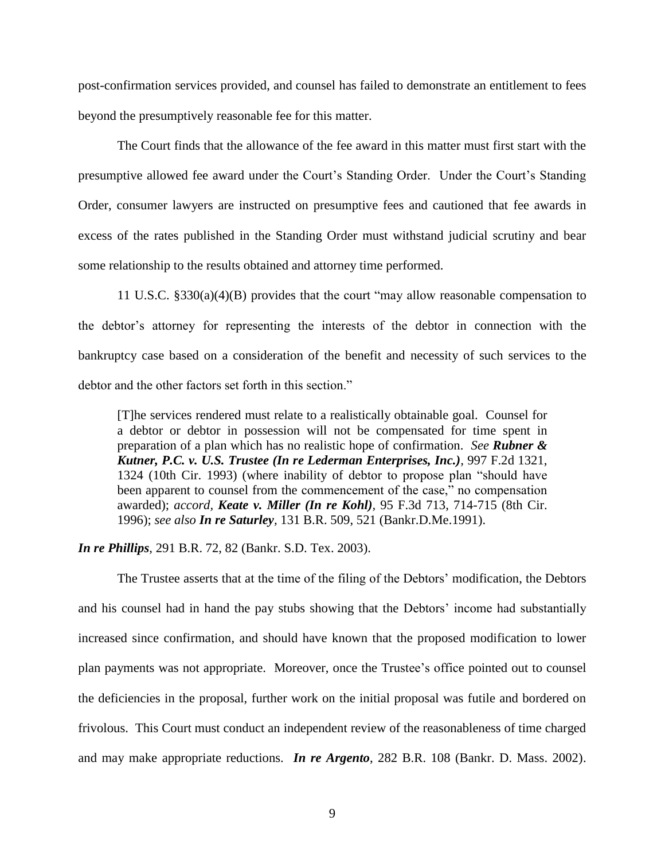post-confirmation services provided, and counsel has failed to demonstrate an entitlement to fees beyond the presumptively reasonable fee for this matter.

The Court finds that the allowance of the fee award in this matter must first start with the presumptive allowed fee award under the Court's Standing Order. Under the Court's Standing Order, consumer lawyers are instructed on presumptive fees and cautioned that fee awards in excess of the rates published in the Standing Order must withstand judicial scrutiny and bear some relationship to the results obtained and attorney time performed.

11 U.S.C. §330(a)(4)(B) provides that the court "may allow reasonable compensation to the debtor's attorney for representing the interests of the debtor in connection with the bankruptcy case based on a consideration of the benefit and necessity of such services to the debtor and the other factors set forth in this section."

[T]he services rendered must relate to a realistically obtainable goal. Counsel for a debtor or debtor in possession will not be compensated for time spent in preparation of a plan which has no realistic hope of confirmation. *See Rubner & Kutner, P.C. v. U.S. Trustee (In re Lederman Enterprises, Inc.),* 997 F.2d 1321, 1324 (10th Cir. 1993) (where inability of debtor to propose plan "should have been apparent to counsel from the commencement of the case," no compensation awarded); *accord, Keate v. Miller (In re Kohl),* 95 F.3d 713, 714-715 (8th Cir. 1996); *see also In re Saturley,* 131 B.R. 509, 521 (Bankr.D.Me.1991).

*In re Phillips*, 291 B.R. 72, 82 (Bankr. S.D. Tex. 2003).

The Trustee asserts that at the time of the filing of the Debtors' modification, the Debtors and his counsel had in hand the pay stubs showing that the Debtors' income had substantially increased since confirmation, and should have known that the proposed modification to lower plan payments was not appropriate. Moreover, once the Trustee's office pointed out to counsel the deficiencies in the proposal, further work on the initial proposal was futile and bordered on frivolous. This Court must conduct an independent review of the reasonableness of time charged and may make appropriate reductions. *In re Argento*, 282 B.R. 108 (Bankr. D. Mass. 2002).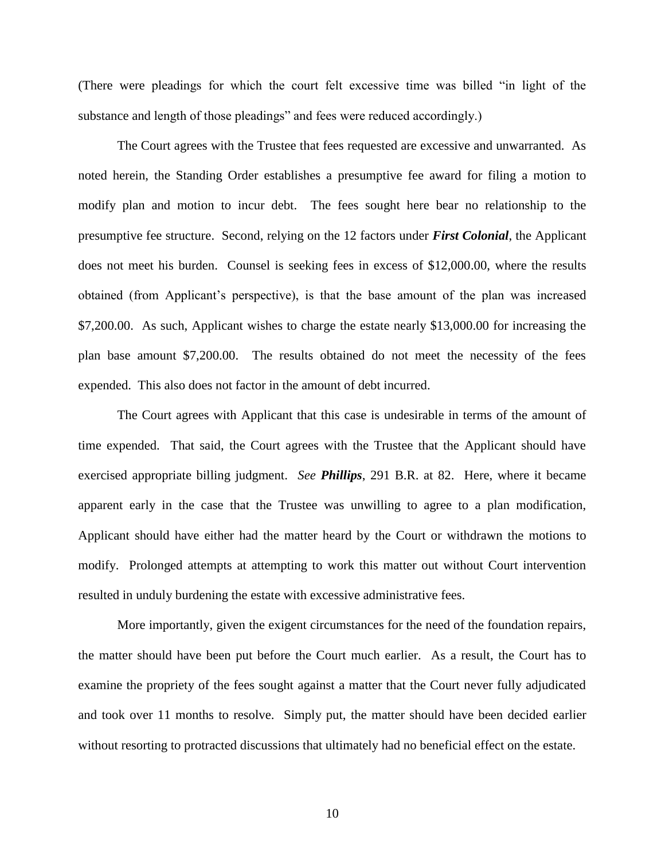(There were pleadings for which the court felt excessive time was billed "in light of the substance and length of those pleadings" and fees were reduced accordingly.)

The Court agrees with the Trustee that fees requested are excessive and unwarranted. As noted herein, the Standing Order establishes a presumptive fee award for filing a motion to modify plan and motion to incur debt. The fees sought here bear no relationship to the presumptive fee structure. Second, relying on the 12 factors under *First Colonial*, the Applicant does not meet his burden. Counsel is seeking fees in excess of \$12,000.00, where the results obtained (from Applicant's perspective), is that the base amount of the plan was increased \$7,200.00. As such, Applicant wishes to charge the estate nearly \$13,000.00 for increasing the plan base amount \$7,200.00. The results obtained do not meet the necessity of the fees expended. This also does not factor in the amount of debt incurred.

The Court agrees with Applicant that this case is undesirable in terms of the amount of time expended. That said, the Court agrees with the Trustee that the Applicant should have exercised appropriate billing judgment. *See Phillips*, 291 B.R. at 82. Here, where it became apparent early in the case that the Trustee was unwilling to agree to a plan modification, Applicant should have either had the matter heard by the Court or withdrawn the motions to modify. Prolonged attempts at attempting to work this matter out without Court intervention resulted in unduly burdening the estate with excessive administrative fees.

More importantly, given the exigent circumstances for the need of the foundation repairs, the matter should have been put before the Court much earlier. As a result, the Court has to examine the propriety of the fees sought against a matter that the Court never fully adjudicated and took over 11 months to resolve. Simply put, the matter should have been decided earlier without resorting to protracted discussions that ultimately had no beneficial effect on the estate.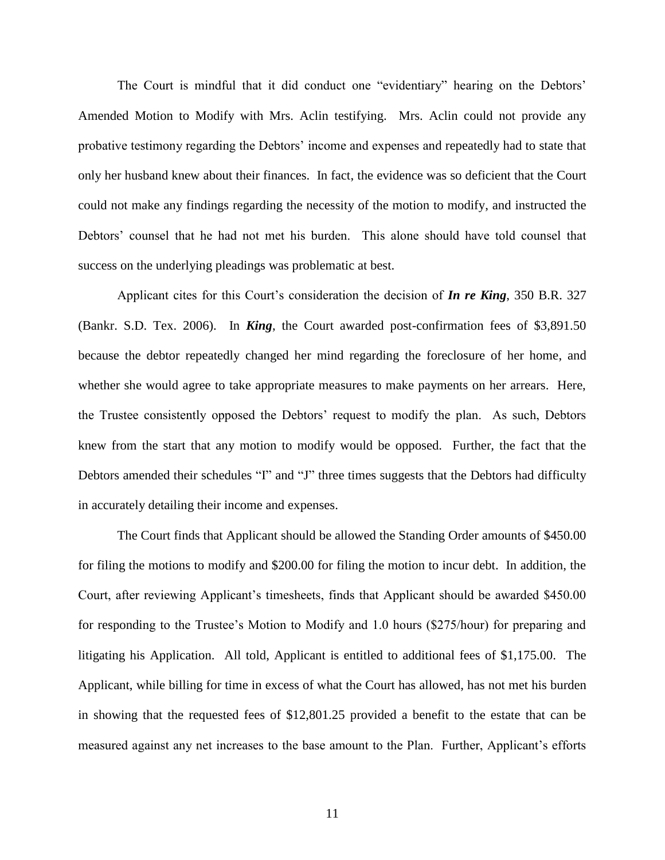The Court is mindful that it did conduct one "evidentiary" hearing on the Debtors' Amended Motion to Modify with Mrs. Aclin testifying. Mrs. Aclin could not provide any probative testimony regarding the Debtors' income and expenses and repeatedly had to state that only her husband knew about their finances. In fact, the evidence was so deficient that the Court could not make any findings regarding the necessity of the motion to modify, and instructed the Debtors' counsel that he had not met his burden. This alone should have told counsel that success on the underlying pleadings was problematic at best.

Applicant cites for this Court's consideration the decision of *In re King*, 350 B.R. 327 (Bankr. S.D. Tex. 2006). In *King*, the Court awarded post-confirmation fees of \$3,891.50 because the debtor repeatedly changed her mind regarding the foreclosure of her home, and whether she would agree to take appropriate measures to make payments on her arrears. Here, the Trustee consistently opposed the Debtors' request to modify the plan. As such, Debtors knew from the start that any motion to modify would be opposed. Further, the fact that the Debtors amended their schedules "I" and "J" three times suggests that the Debtors had difficulty in accurately detailing their income and expenses.

The Court finds that Applicant should be allowed the Standing Order amounts of \$450.00 for filing the motions to modify and \$200.00 for filing the motion to incur debt. In addition, the Court, after reviewing Applicant's timesheets, finds that Applicant should be awarded \$450.00 for responding to the Trustee's Motion to Modify and 1.0 hours (\$275/hour) for preparing and litigating his Application. All told, Applicant is entitled to additional fees of \$1,175.00. The Applicant, while billing for time in excess of what the Court has allowed, has not met his burden in showing that the requested fees of \$12,801.25 provided a benefit to the estate that can be measured against any net increases to the base amount to the Plan. Further, Applicant's efforts